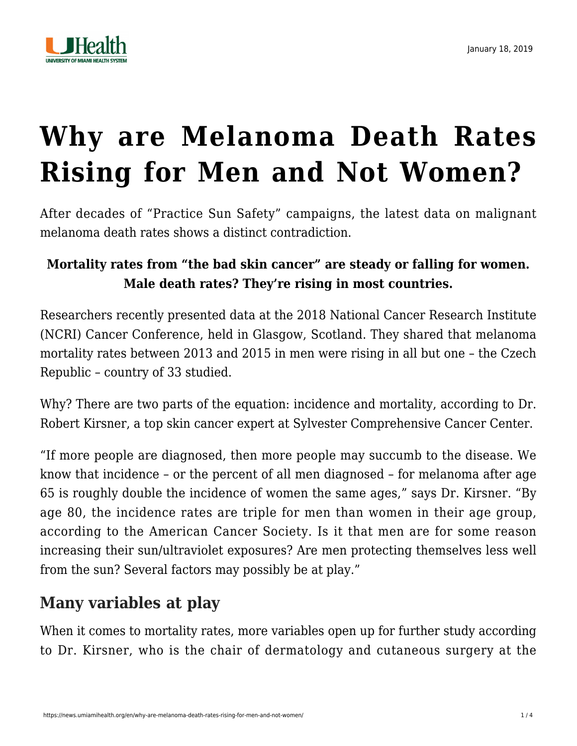

# **[Why are Melanoma Death Rates](https://news.umiamihealth.org/en/why-are-melanoma-death-rates-rising-for-men-and-not-women/) [Rising for Men and Not Women?](https://news.umiamihealth.org/en/why-are-melanoma-death-rates-rising-for-men-and-not-women/)**

After decades of "Practice Sun Safety" campaigns, the latest data on malignant melanoma death rates shows a distinct contradiction.

#### **Mortality rates from "the bad skin cancer" are steady or falling for women. Male death rates? They're rising in most countries.**

Researchers recently presented data at the [2018 National Cancer Research Institute](http://www.ascopost.com/News/59485) (NCRI) Cancer Conference, held in Glasgow, Scotland. They shared that melanoma mortality rates between 2013 and 2015 in men were rising in all but one – the Czech Republic – country of 33 studied.

Why? There are two parts of the equation: incidence and mortality, according to [Dr.](https://sylvester-doctors.umiamihealth.org/provider/Robert+Scott+Kirsner/525877?unified=kersner&sort=networks%2Crelevance) [Robert Kirsner](https://sylvester-doctors.umiamihealth.org/provider/Robert+Scott+Kirsner/525877?unified=kersner&sort=networks%2Crelevance), a top skin cancer expert at Sylvester Comprehensive Cancer Center.

"If more people are diagnosed, then more people may succumb to the disease. We know that incidence – or the percent of all men diagnosed – for melanoma after age 65 is roughly double the incidence of women the same ages," says Dr. Kirsner. "By age 80, the incidence rates are triple for men than women in their age group, according to the American Cancer Society. Is it that men are for some reason increasing their sun/ultraviolet exposures? Are men protecting themselves less well from the sun? Several factors may possibly be at play."

# **Many variables at play**

When it comes to mortality rates, more variables open up for further study according to Dr. Kirsner, who is the chair of dermatology and cutaneous surgery at the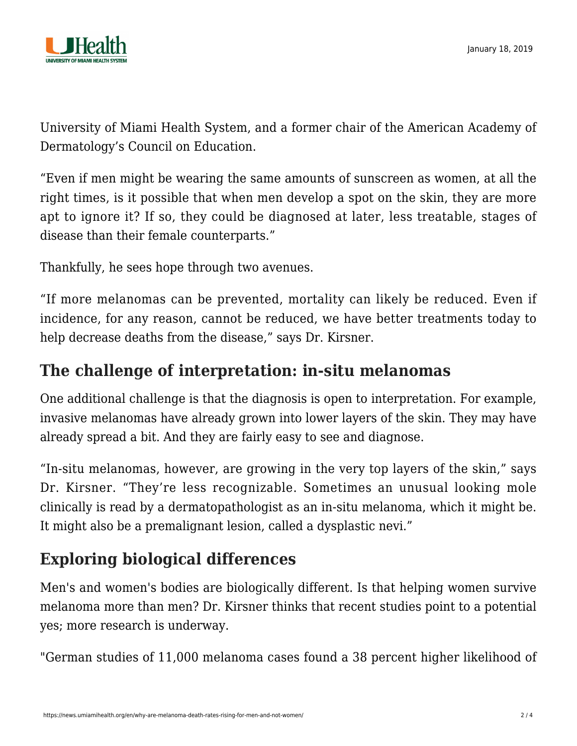

University of Miami Health System, and a former chair of the American Academy of Dermatology's Council on Education.

"Even if men might be wearing the same amounts of sunscreen as women, at all the right times, is it possible that when men develop a spot on the skin, they are more apt to ignore it? If so, they could be diagnosed at later, less treatable, stages of disease than their female counterparts."

Thankfully, he sees hope through two avenues.

"If more melanomas can be prevented, mortality can likely be reduced. Even if incidence, for any reason, cannot be reduced, we have better treatments today to help decrease deaths from the disease," says Dr. Kirsner.

### **The challenge of interpretation: in-situ melanomas**

One additional challenge is that the diagnosis is open to interpretation. For example, invasive melanomas have already grown into lower layers of the skin. They may have already spread a bit. And they are fairly easy to see and diagnose.

"In-situ melanomas, however, are growing in the very top layers of the skin," says Dr. Kirsner. "They're less recognizable. Sometimes an unusual looking mole clinically is read by a dermatopathologist as an in-situ melanoma, which it might be. It might also be a premalignant lesion, called a dysplastic nevi."

# **Exploring biological differences**

Men's and women's bodies are biologically different. Is that helping women survive melanoma more than men? Dr. Kirsner thinks that recent studies point to a potential yes; more research is underway.

"German studies of 11,000 melanoma cases found a 38 percent higher likelihood of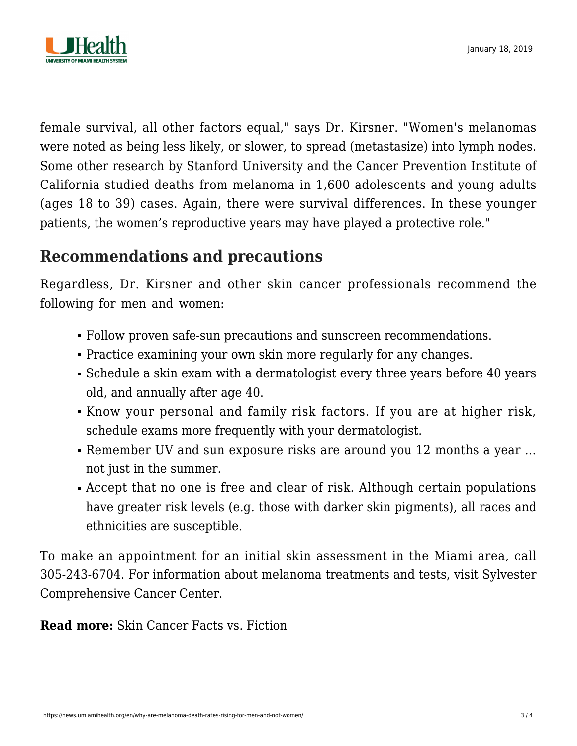

female survival, all other factors equal," says Dr. Kirsner. "Women's melanomas were noted as being less likely, or slower, to spread (metastasize) into lymph nodes. Some other [research by Stanford University and the Cancer Prevention Institute of](https://www.skincancer.org/publications/the-melanoma-letter/summer-2014-vol-32-no-2/men) [California](https://www.skincancer.org/publications/the-melanoma-letter/summer-2014-vol-32-no-2/men) studied deaths from melanoma in 1,600 adolescents and young adults (ages 18 to 39) cases. Again, there were survival differences. In these younger patients, the women's reproductive years may have played a protective role."

# **Recommendations and precautions**

Regardless, Dr. Kirsner and other skin cancer professionals recommend the following for men and women:

- Follow proven [safe-sun precautions and sunscreen recommendations](https://news.umiamihealth.org/en/skin-cancer-facts-vs-fiction/).
- Practice [examining your own skin](http://dermatology.med.miami.edu/documents/looking-good-2016-infographic.pdf) more regularly for any changes.
- Schedule a skin exam with a dermatologist every three years before 40 years old, and annually after age 40.
- Know your [personal and family risk factors](http://researchers.uhealthsystem.com/health-library/skin/typesof/melanoma). If you are at higher risk, schedule exams more frequently with your dermatologist.
- Remember UV and sun exposure risks are around you 12 months a year ... not just in the summer.
- Accept that no one is free and clear of risk. Although certain populations have greater risk levels (e.g. those with darker skin pigments), all races and ethnicities are susceptible.

To make an appointment for an initial skin assessment in the Miami area, call 305-243-6704. For information about melanoma treatments and tests, visit [Sylvester](https://umiamihealth.org/sylvester-comprehensive-cancer-center/treatments-and-services/skin-cancers/melanoma-and-merkel-cell-carcinomas) [Comprehensive Cancer Center](https://umiamihealth.org/sylvester-comprehensive-cancer-center/treatments-and-services/skin-cancers/melanoma-and-merkel-cell-carcinomas).

**Read more:** [Skin Cancer Facts vs. Fiction](https://news.umiamihealth.org/en/skin-cancer-facts-vs-fiction/)